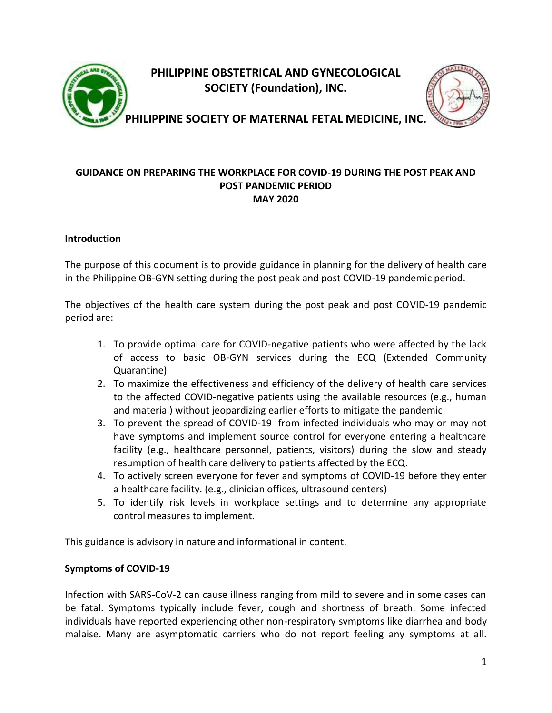

**PHILIPPINE OBSTETRICAL AND GYNECOLOGICAL SOCIETY (Foundation), INC.**



**PHILIPPINE SOCIETY OF MATERNAL FETAL MEDICINE, INC.**

### **GUIDANCE ON PREPARING THE WORKPLACE FOR COVID-19 DURING THE POST PEAK AND POST PANDEMIC PERIOD MAY 2020**

### **Introduction**

The purpose of this document is to provide guidance in planning for the delivery of health care in the Philippine OB-GYN setting during the post peak and post COVID-19 pandemic period.

The objectives of the health care system during the post peak and post COVID-19 pandemic period are:

- 1. To provide optimal care for COVID-negative patients who were affected by the lack of access to basic OB-GYN services during the ECQ (Extended Community Quarantine)
- 2. To maximize the effectiveness and efficiency of the delivery of health care services to the affected COVID-negative patients using the available resources (e.g., human and material) without jeopardizing earlier efforts to mitigate the pandemic
- 3. To prevent the spread of COVID-19 from infected individuals who may or may not have symptoms and implement source control for everyone entering a healthcare facility (e.g., healthcare personnel, patients, visitors) during the slow and steady resumption of health care delivery to patients affected by the ECQ.
- 4. To actively screen everyone for fever and symptoms of COVID-19 before they enter a healthcare facility. (e.g., clinician offices, ultrasound centers)
- 5. To identify risk levels in workplace settings and to determine any appropriate control measures to implement.

This guidance is advisory in nature and informational in content.

#### **Symptoms of COVID-19**

Infection with SARS-CoV-2 can cause illness ranging from mild to severe and in some cases can be fatal. Symptoms typically include fever, cough and shortness of breath. Some infected individuals have reported experiencing other non-respiratory symptoms like diarrhea and body malaise. Many are asymptomatic carriers who do not report feeling any symptoms at all.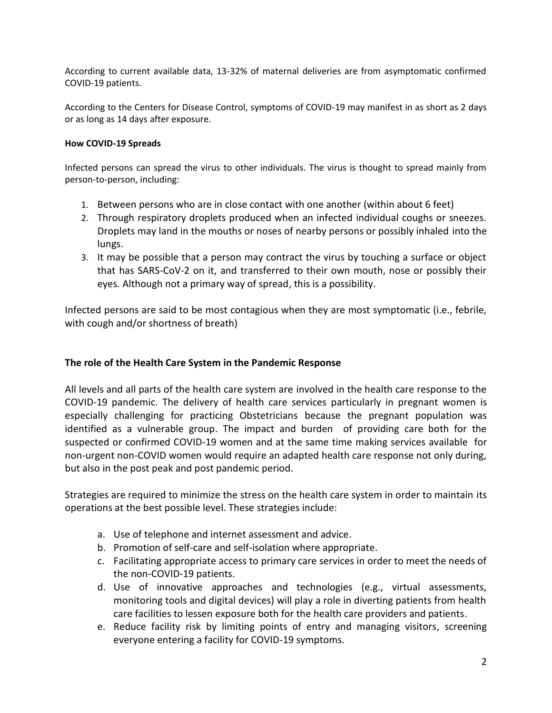According to current available data, 13-32% of maternal deliveries are from asymptomatic confirmed COVID-19 patients.

According to the Centers for Disease Control, symptoms of COVID-19 may manifest in as short as 2 days or as long as 14 days after exposure.

#### **How COVID-19 Spreads**

Infected persons can spread the virus to other individuals. The virus is thought to spread mainly from person-to-person, including:

- 1. Between persons who are in close contact with one another (within about 6 feet)
- 2. Through respiratory droplets produced when an infected individual coughs or sneezes. Droplets may land in the mouths or noses of nearby persons or possibly inhaled into the lungs.
- 3. It may be possible that a person may contract the virus by touching a surface or object that has SARS-CoV-2 on it, and transferred to their own mouth, nose or possibly their eyes. Although not a primary way of spread, this is a possibility.

Infected persons are said to be most contagious when they are most symptomatic (i.e., febrile, with cough and/or shortness of breath)

## **The role of the Health Care System in the Pandemic Response**

All levels and all parts of the health care system are involved in the health care response to the COVID-19 pandemic. The delivery of health care services particularly in pregnant women is especially challenging for practicing Obstetricians because the pregnant population was identified as a vulnerable group. The impact and burden of providing care both for the suspected or confirmed COVID-19 women and at the same time making services available for non-urgent non-COVID women would require an adapted health care response not only during, but also in the post peak and post pandemic period.

Strategies are required to minimize the stress on the health care system in order to maintain its operations at the best possible level. These strategies include:

- a. Use of telephone and internet assessment and advice.
- b. Promotion of self-care and self-isolation where appropriate.
- c. Facilitating appropriate access to primary care services in order to meet the needs of the non-COVID-19 patients.
- d. Use of innovative approaches and technologies (e.g., virtual assessments, monitoring tools and digital devices) will play a role in diverting patients from health care facilities to lessen exposure both for the health care providers and patients.
- e. Reduce facility risk by limiting points of entry and managing visitors, screening everyone entering a facility for COVID-19 symptoms.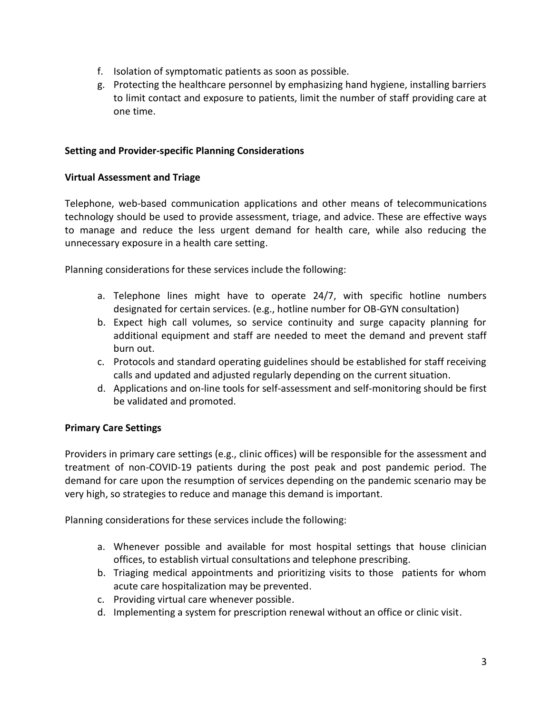- f. Isolation of symptomatic patients as soon as possible.
- g. Protecting the healthcare personnel by emphasizing hand hygiene, installing barriers to limit contact and exposure to patients, limit the number of staff providing care at one time.

### **Setting and Provider-specific Planning Considerations**

### **Virtual Assessment and Triage**

Telephone, web-based communication applications and other means of telecommunications technology should be used to provide assessment, triage, and advice. These are effective ways to manage and reduce the less urgent demand for health care, while also reducing the unnecessary exposure in a health care setting.

Planning considerations for these services include the following:

- a. Telephone lines might have to operate 24/7, with specific hotline numbers designated for certain services. (e.g., hotline number for OB-GYN consultation)
- b. Expect high call volumes, so service continuity and surge capacity planning for additional equipment and staff are needed to meet the demand and prevent staff burn out.
- c. Protocols and standard operating guidelines should be established for staff receiving calls and updated and adjusted regularly depending on the current situation.
- d. Applications and on-line tools for self-assessment and self-monitoring should be first be validated and promoted.

## **Primary Care Settings**

Providers in primary care settings (e.g., clinic offices) will be responsible for the assessment and treatment of non-COVID-19 patients during the post peak and post pandemic period. The demand for care upon the resumption of services depending on the pandemic scenario may be very high, so strategies to reduce and manage this demand is important.

Planning considerations for these services include the following:

- a. Whenever possible and available for most hospital settings that house clinician offices, to establish virtual consultations and telephone prescribing.
- b. Triaging medical appointments and prioritizing visits to those patients for whom acute care hospitalization may be prevented.
- c. Providing virtual care whenever possible.
- d. Implementing a system for prescription renewal without an office or clinic visit.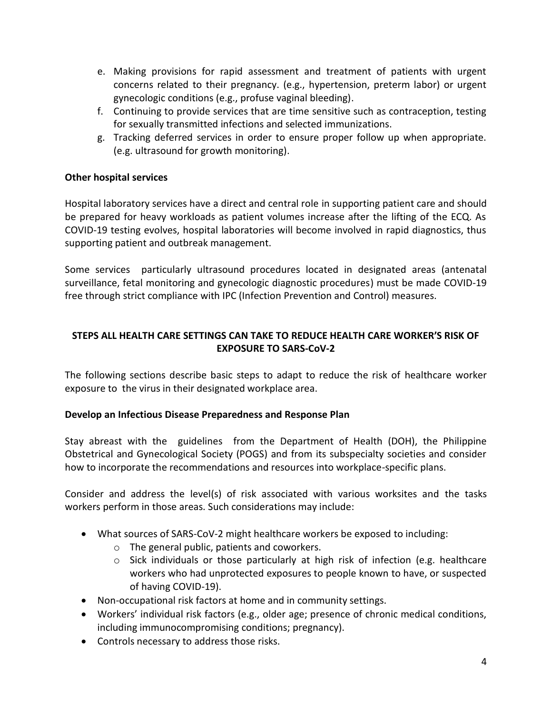- e. Making provisions for rapid assessment and treatment of patients with urgent concerns related to their pregnancy. (e.g., hypertension, preterm labor) or urgent gynecologic conditions (e.g., profuse vaginal bleeding).
- f. Continuing to provide services that are time sensitive such as contraception, testing for sexually transmitted infections and selected immunizations.
- g. Tracking deferred services in order to ensure proper follow up when appropriate. (e.g. ultrasound for growth monitoring).

## **Other hospital services**

Hospital laboratory services have a direct and central role in supporting patient care and should be prepared for heavy workloads as patient volumes increase after the lifting of the ECQ. As COVID-19 testing evolves, hospital laboratories will become involved in rapid diagnostics, thus supporting patient and outbreak management.

Some services particularly ultrasound procedures located in designated areas (antenatal surveillance, fetal monitoring and gynecologic diagnostic procedures) must be made COVID-19 free through strict compliance with IPC (Infection Prevention and Control) measures.

# **STEPS ALL HEALTH CARE SETTINGS CAN TAKE TO REDUCE HEALTH CARE WORKER'S RISK OF EXPOSURE TO SARS-CoV-2**

The following sections describe basic steps to adapt to reduce the risk of healthcare worker exposure to the virus in their designated workplace area.

## **Develop an Infectious Disease Preparedness and Response Plan**

Stay abreast with the guidelines from the Department of Health (DOH), the Philippine Obstetrical and Gynecological Society (POGS) and from its subspecialty societies and consider how to incorporate the recommendations and resources into workplace-specific plans.

Consider and address the level(s) of risk associated with various worksites and the tasks workers perform in those areas. Such considerations may include:

- What sources of SARS-CoV-2 might healthcare workers be exposed to including:
	- o The general public, patients and coworkers.
	- $\circ$  Sick individuals or those particularly at high risk of infection (e.g. healthcare workers who had unprotected exposures to people known to have, or suspected of having COVID-19).
- Non-occupational risk factors at home and in community settings.
- Workers' individual risk factors (e.g., older age; presence of chronic medical conditions, including immunocompromising conditions; pregnancy).
- Controls necessary to address those risks.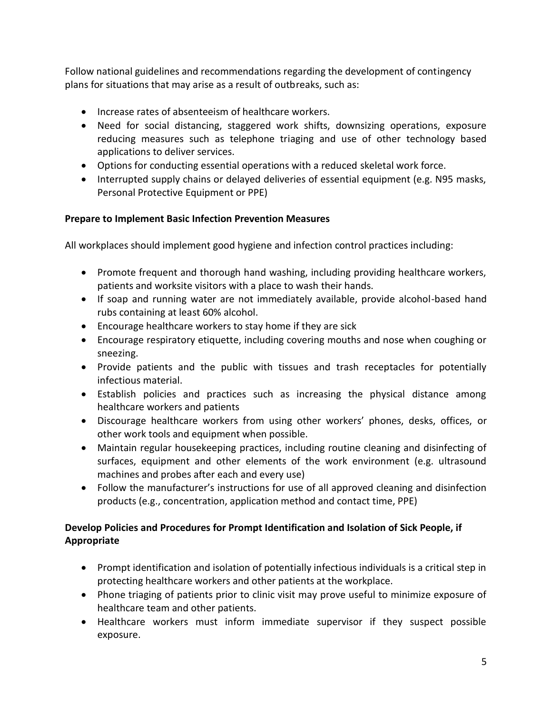Follow national guidelines and recommendations regarding the development of contingency plans for situations that may arise as a result of outbreaks, such as:

- Increase rates of absenteeism of healthcare workers.
- Need for social distancing, staggered work shifts, downsizing operations, exposure reducing measures such as telephone triaging and use of other technology based applications to deliver services.
- Options for conducting essential operations with a reduced skeletal work force.
- Interrupted supply chains or delayed deliveries of essential equipment (e.g. N95 masks, Personal Protective Equipment or PPE)

# **Prepare to Implement Basic Infection Prevention Measures**

All workplaces should implement good hygiene and infection control practices including:

- Promote frequent and thorough hand washing, including providing healthcare workers, patients and worksite visitors with a place to wash their hands.
- If soap and running water are not immediately available, provide alcohol-based hand rubs containing at least 60% alcohol.
- Encourage healthcare workers to stay home if they are sick
- Encourage respiratory etiquette, including covering mouths and nose when coughing or sneezing.
- Provide patients and the public with tissues and trash receptacles for potentially infectious material.
- Establish policies and practices such as increasing the physical distance among healthcare workers and patients
- Discourage healthcare workers from using other workers' phones, desks, offices, or other work tools and equipment when possible.
- Maintain regular housekeeping practices, including routine cleaning and disinfecting of surfaces, equipment and other elements of the work environment (e.g. ultrasound machines and probes after each and every use)
- Follow the manufacturer's instructions for use of all approved cleaning and disinfection products (e.g., concentration, application method and contact time, PPE)

# **Develop Policies and Procedures for Prompt Identification and Isolation of Sick People, if Appropriate**

- Prompt identification and isolation of potentially infectious individuals is a critical step in protecting healthcare workers and other patients at the workplace.
- Phone triaging of patients prior to clinic visit may prove useful to minimize exposure of healthcare team and other patients.
- Healthcare workers must inform immediate supervisor if they suspect possible exposure.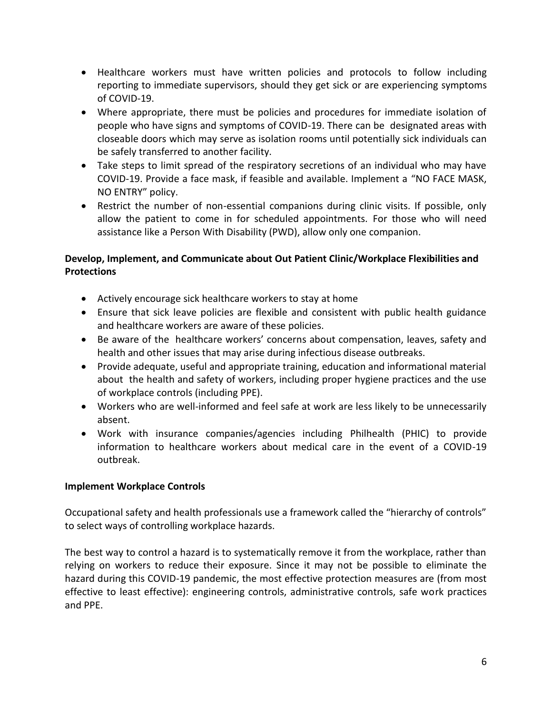- Healthcare workers must have written policies and protocols to follow including reporting to immediate supervisors, should they get sick or are experiencing symptoms of COVID-19.
- Where appropriate, there must be policies and procedures for immediate isolation of people who have signs and symptoms of COVID-19. There can be designated areas with closeable doors which may serve as isolation rooms until potentially sick individuals can be safely transferred to another facility.
- Take steps to limit spread of the respiratory secretions of an individual who may have COVID-19. Provide a face mask, if feasible and available. Implement a "NO FACE MASK, NO ENTRY" policy.
- Restrict the number of non-essential companions during clinic visits. If possible, only allow the patient to come in for scheduled appointments. For those who will need assistance like a Person With Disability (PWD), allow only one companion.

# **Develop, Implement, and Communicate about Out Patient Clinic/Workplace Flexibilities and Protections**

- Actively encourage sick healthcare workers to stay at home
- Ensure that sick leave policies are flexible and consistent with public health guidance and healthcare workers are aware of these policies.
- Be aware of the healthcare workers' concerns about compensation, leaves, safety and health and other issues that may arise during infectious disease outbreaks.
- Provide adequate, useful and appropriate training, education and informational material about the health and safety of workers, including proper hygiene practices and the use of workplace controls (including PPE).
- Workers who are well-informed and feel safe at work are less likely to be unnecessarily absent.
- Work with insurance companies/agencies including Philhealth (PHIC) to provide information to healthcare workers about medical care in the event of a COVID-19 outbreak.

## **Implement Workplace Controls**

Occupational safety and health professionals use a framework called the "hierarchy of controls" to select ways of controlling workplace hazards.

The best way to control a hazard is to systematically remove it from the workplace, rather than relying on workers to reduce their exposure. Since it may not be possible to eliminate the hazard during this COVID-19 pandemic, the most effective protection measures are (from most effective to least effective): engineering controls, administrative controls, safe work practices and PPE.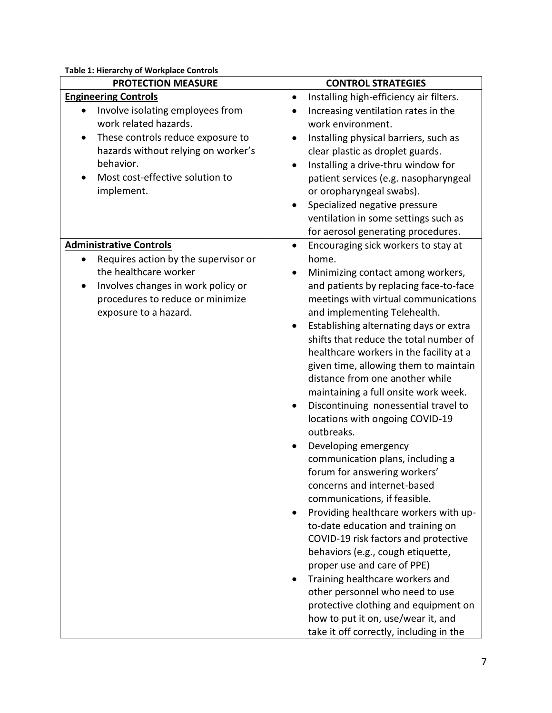**Table 1: Hierarchy of Workplace Controls**

| <b>PROTECTION MEASURE</b>                                              | <b>CONTROL STRATEGIES</b>                                |
|------------------------------------------------------------------------|----------------------------------------------------------|
| <b>Engineering Controls</b>                                            | Installing high-efficiency air filters.<br>$\bullet$     |
| Involve isolating employees from<br>$\bullet$<br>work related hazards. | Increasing ventilation rates in the<br>work environment. |
| These controls reduce exposure to<br>$\bullet$                         | Installing physical barriers, such as<br>$\bullet$       |
| hazards without relying on worker's                                    | clear plastic as droplet guards.                         |
| behavior.                                                              | Installing a drive-thru window for<br>$\bullet$          |
| Most cost-effective solution to                                        | patient services (e.g. nasopharyngeal                    |
| implement.                                                             | or oropharyngeal swabs).                                 |
|                                                                        | Specialized negative pressure                            |
|                                                                        | ventilation in some settings such as                     |
|                                                                        | for aerosol generating procedures.                       |
| <b>Administrative Controls</b>                                         | Encouraging sick workers to stay at<br>$\bullet$         |
| Requires action by the supervisor or<br>$\bullet$                      | home.                                                    |
| the healthcare worker                                                  | Minimizing contact among workers,<br>$\bullet$           |
| Involves changes in work policy or                                     | and patients by replacing face-to-face                   |
| procedures to reduce or minimize                                       | meetings with virtual communications                     |
| exposure to a hazard.                                                  | and implementing Telehealth.                             |
|                                                                        | Establishing alternating days or extra                   |
|                                                                        | shifts that reduce the total number of                   |
|                                                                        | healthcare workers in the facility at a                  |
|                                                                        | given time, allowing them to maintain                    |
|                                                                        | distance from one another while                          |
|                                                                        | maintaining a full onsite work week.                     |
|                                                                        | Discontinuing nonessential travel to                     |
|                                                                        | locations with ongoing COVID-19<br>outbreaks.            |
|                                                                        |                                                          |
|                                                                        | Developing emergency<br>communication plans, including a |
|                                                                        | forum for answering workers'                             |
|                                                                        | concerns and internet-based                              |
|                                                                        | communications, if feasible.                             |
|                                                                        | Providing healthcare workers with up-                    |
|                                                                        | to-date education and training on                        |
|                                                                        | COVID-19 risk factors and protective                     |
|                                                                        | behaviors (e.g., cough etiquette,                        |
|                                                                        | proper use and care of PPE)                              |
|                                                                        | Training healthcare workers and                          |
|                                                                        | other personnel who need to use                          |
|                                                                        | protective clothing and equipment on                     |
|                                                                        | how to put it on, use/wear it, and                       |
|                                                                        | take it off correctly, including in the                  |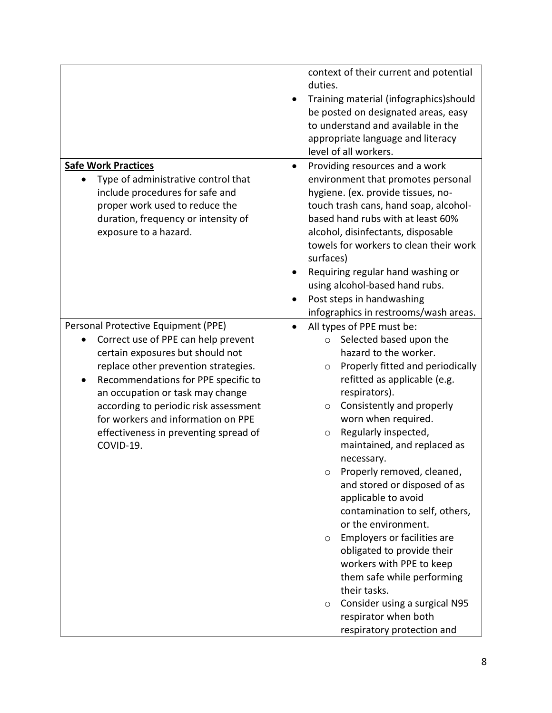|                                                                                                                                                                                                                                                                                                                                                                        | context of their current and potential<br>duties.<br>Training material (infographics) should<br>be posted on designated areas, easy<br>to understand and available in the<br>appropriate language and literacy<br>level of all workers.                                                                                                                                                                                                                                                                                                                                                                                                                                                                                |
|------------------------------------------------------------------------------------------------------------------------------------------------------------------------------------------------------------------------------------------------------------------------------------------------------------------------------------------------------------------------|------------------------------------------------------------------------------------------------------------------------------------------------------------------------------------------------------------------------------------------------------------------------------------------------------------------------------------------------------------------------------------------------------------------------------------------------------------------------------------------------------------------------------------------------------------------------------------------------------------------------------------------------------------------------------------------------------------------------|
| <b>Safe Work Practices</b><br>Type of administrative control that<br>include procedures for safe and<br>proper work used to reduce the<br>duration, frequency or intensity of<br>exposure to a hazard.                                                                                                                                                                 | Providing resources and a work<br>environment that promotes personal<br>hygiene. (ex. provide tissues, no-<br>touch trash cans, hand soap, alcohol-<br>based hand rubs with at least 60%<br>alcohol, disinfectants, disposable<br>towels for workers to clean their work<br>surfaces)<br>Requiring regular hand washing or<br>using alcohol-based hand rubs.<br>Post steps in handwashing<br>infographics in restrooms/wash areas.                                                                                                                                                                                                                                                                                     |
| Personal Protective Equipment (PPE)<br>Correct use of PPE can help prevent<br>certain exposures but should not<br>replace other prevention strategies.<br>Recommendations for PPE specific to<br>an occupation or task may change<br>according to periodic risk assessment<br>for workers and information on PPE<br>effectiveness in preventing spread of<br>COVID-19. | All types of PPE must be:<br>Selected based upon the<br>$\circ$<br>hazard to the worker.<br>Properly fitted and periodically<br>$\circ$<br>refitted as applicable (e.g.<br>respirators).<br>Consistently and properly<br>$\circ$<br>worn when required.<br>Regularly inspected,<br>$\circ$<br>maintained, and replaced as<br>necessary.<br>Properly removed, cleaned,<br>$\circ$<br>and stored or disposed of as<br>applicable to avoid<br>contamination to self, others,<br>or the environment.<br>Employers or facilities are<br>$\circ$<br>obligated to provide their<br>workers with PPE to keep<br>them safe while performing<br>their tasks.<br>Consider using a surgical N95<br>$\circ$<br>respirator when both |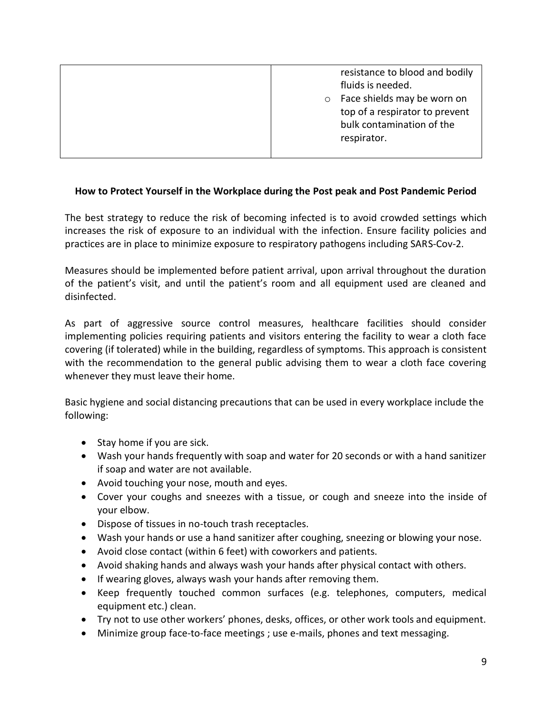| resistance to blood and bodily<br>fluids is needed.<br>Face shields may be worn on<br>$\circ$<br>top of a respirator to prevent<br>bulk contamination of the<br>respirator. |
|-----------------------------------------------------------------------------------------------------------------------------------------------------------------------------|
|-----------------------------------------------------------------------------------------------------------------------------------------------------------------------------|

### **How to Protect Yourself in the Workplace during the Post peak and Post Pandemic Period**

The best strategy to reduce the risk of becoming infected is to avoid crowded settings which increases the risk of exposure to an individual with the infection. Ensure facility policies and practices are in place to minimize exposure to respiratory pathogens including SARS-Cov-2.

Measures should be implemented before patient arrival, upon arrival throughout the duration of the patient's visit, and until the patient's room and all equipment used are cleaned and disinfected.

As part of aggressive source control measures, healthcare facilities should consider implementing policies requiring patients and visitors entering the facility to wear a cloth face covering (if tolerated) while in the building, regardless of symptoms. This approach is consistent with the recommendation to the general public advising them to wear a cloth face covering whenever they must leave their home.

Basic hygiene and social distancing precautions that can be used in every workplace include the following:

- Stay home if you are sick.
- Wash your hands frequently with soap and water for 20 seconds or with a hand sanitizer if soap and water are not available.
- Avoid touching your nose, mouth and eyes.
- Cover your coughs and sneezes with a tissue, or cough and sneeze into the inside of your elbow.
- Dispose of tissues in no-touch trash receptacles.
- Wash your hands or use a hand sanitizer after coughing, sneezing or blowing your nose.
- Avoid close contact (within 6 feet) with coworkers and patients.
- Avoid shaking hands and always wash your hands after physical contact with others.
- If wearing gloves, always wash your hands after removing them.
- Keep frequently touched common surfaces (e.g. telephones, computers, medical equipment etc.) clean.
- Try not to use other workers' phones, desks, offices, or other work tools and equipment.
- Minimize group face-to-face meetings ; use e-mails, phones and text messaging.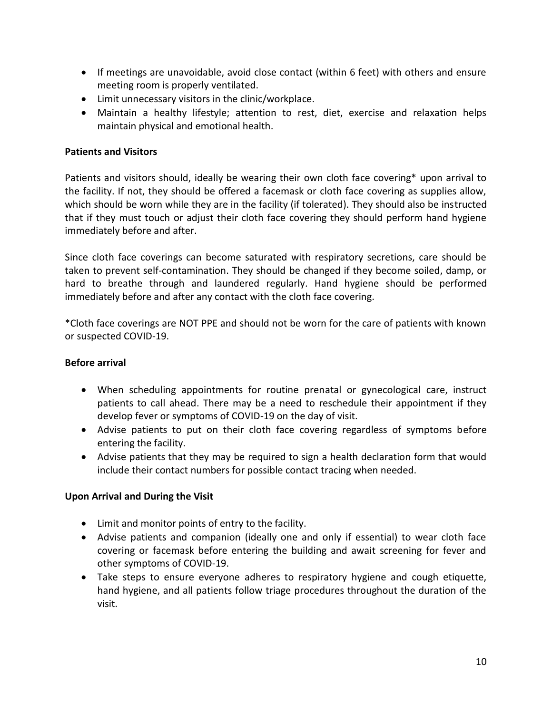- If meetings are unavoidable, avoid close contact (within 6 feet) with others and ensure meeting room is properly ventilated.
- Limit unnecessary visitors in the clinic/workplace.
- Maintain a healthy lifestyle; attention to rest, diet, exercise and relaxation helps maintain physical and emotional health.

### **Patients and Visitors**

Patients and visitors should, ideally be wearing their own cloth face covering\* upon arrival to the facility. If not, they should be offered a facemask or cloth face covering as supplies allow, which should be worn while they are in the facility (if tolerated). They should also be instructed that if they must touch or adjust their cloth face covering they should perform hand hygiene immediately before and after.

Since cloth face coverings can become saturated with respiratory secretions, care should be taken to prevent self-contamination. They should be changed if they become soiled, damp, or hard to breathe through and laundered regularly. Hand hygiene should be performed immediately before and after any contact with the cloth face covering.

\*Cloth face coverings are NOT PPE and should not be worn for the care of patients with known or suspected COVID-19.

## **Before arrival**

- When scheduling appointments for routine prenatal or gynecological care, instruct patients to call ahead. There may be a need to reschedule their appointment if they develop fever or symptoms of COVID-19 on the day of visit.
- Advise patients to put on their cloth face covering regardless of symptoms before entering the facility.
- Advise patients that they may be required to sign a health declaration form that would include their contact numbers for possible contact tracing when needed.

#### **Upon Arrival and During the Visit**

- Limit and monitor points of entry to the facility.
- Advise patients and companion (ideally one and only if essential) to wear cloth face covering or facemask before entering the building and await screening for fever and other symptoms of COVID-19.
- Take steps to ensure everyone adheres to respiratory hygiene and cough etiquette, hand hygiene, and all patients follow triage procedures throughout the duration of the visit.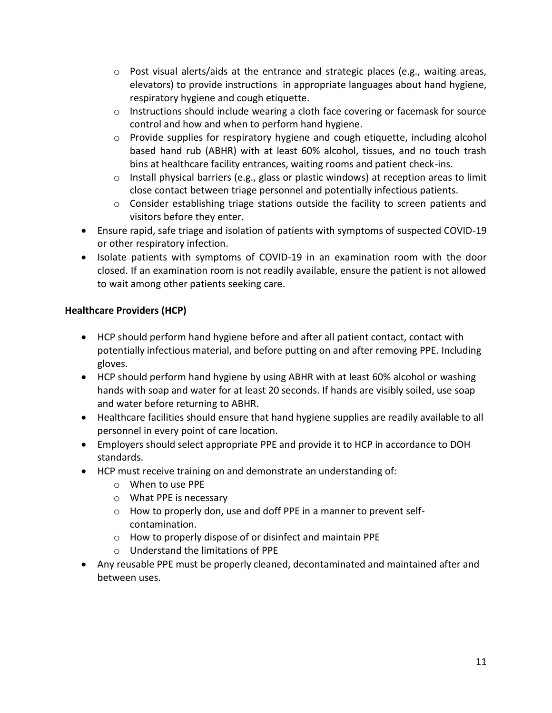- $\circ$  Post visual alerts/aids at the entrance and strategic places (e.g., waiting areas, elevators) to provide instructions in appropriate languages about hand hygiene, respiratory hygiene and cough etiquette.
- $\circ$  Instructions should include wearing a cloth face covering or facemask for source control and how and when to perform hand hygiene.
- $\circ$  Provide supplies for respiratory hygiene and cough etiquette, including alcohol based hand rub (ABHR) with at least 60% alcohol, tissues, and no touch trash bins at healthcare facility entrances, waiting rooms and patient check-ins.
- $\circ$  Install physical barriers (e.g., glass or plastic windows) at reception areas to limit close contact between triage personnel and potentially infectious patients.
- o Consider establishing triage stations outside the facility to screen patients and visitors before they enter.
- Ensure rapid, safe triage and isolation of patients with symptoms of suspected COVID-19 or other respiratory infection.
- Isolate patients with symptoms of COVID-19 in an examination room with the door closed. If an examination room is not readily available, ensure the patient is not allowed to wait among other patients seeking care.

# **Healthcare Providers (HCP)**

- HCP should perform hand hygiene before and after all patient contact, contact with potentially infectious material, and before putting on and after removing PPE. Including gloves.
- HCP should perform hand hygiene by using ABHR with at least 60% alcohol or washing hands with soap and water for at least 20 seconds. If hands are visibly soiled, use soap and water before returning to ABHR.
- Healthcare facilities should ensure that hand hygiene supplies are readily available to all personnel in every point of care location.
- Employers should select appropriate PPE and provide it to HCP in accordance to DOH standards.
- HCP must receive training on and demonstrate an understanding of:
	- o When to use PPE
	- o What PPE is necessary
	- o How to properly don, use and doff PPE in a manner to prevent selfcontamination.
	- o How to properly dispose of or disinfect and maintain PPE
	- o Understand the limitations of PPE
- Any reusable PPE must be properly cleaned, decontaminated and maintained after and between uses.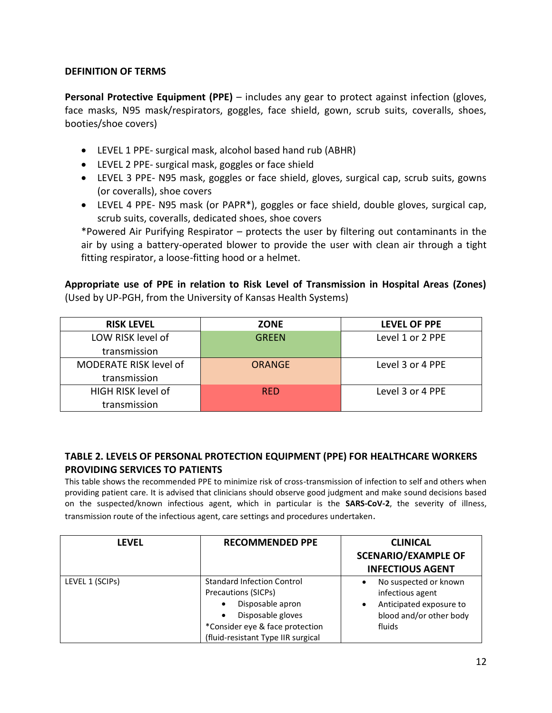### **DEFINITION OF TERMS**

**Personal Protective Equipment (PPE)** – includes any gear to protect against infection (gloves, face masks, N95 mask/respirators, goggles, face shield, gown, scrub suits, coveralls, shoes, booties/shoe covers)

- LEVEL 1 PPE- surgical mask, alcohol based hand rub (ABHR)
- LEVEL 2 PPE- surgical mask, goggles or face shield
- LEVEL 3 PPE- N95 mask, goggles or face shield, gloves, surgical cap, scrub suits, gowns (or coveralls), shoe covers
- LEVEL 4 PPE- N95 mask (or PAPR\*), goggles or face shield, double gloves, surgical cap, scrub suits, coveralls, dedicated shoes, shoe covers

\*Powered Air Purifying Respirator – protects the user by filtering out contaminants in the air by using a battery-operated blower to provide the user with clean air through a tight fitting respirator, a loose-fitting hood or a helmet.

**Appropriate use of PPE in relation to Risk Level of Transmission in Hospital Areas (Zones)** (Used by UP-PGH, from the University of Kansas Health Systems)

| <b>RISK LEVEL</b>             | <b>ZONE</b>   | <b>LEVEL OF PPE</b> |
|-------------------------------|---------------|---------------------|
| LOW RISK level of             | <b>GREEN</b>  | Level 1 or 2 PPE    |
| transmission                  |               |                     |
| <b>MODERATE RISK level of</b> | <b>ORANGE</b> | Level 3 or 4 PPE    |
| transmission                  |               |                     |
| HIGH RISK level of            | <b>RED</b>    | Level 3 or 4 PPE    |
| transmission                  |               |                     |

## **TABLE 2. LEVELS OF PERSONAL PROTECTION EQUIPMENT (PPE) FOR HEALTHCARE WORKERS PROVIDING SERVICES TO PATIENTS**

This table shows the recommended PPE to minimize risk of cross-transmission of infection to self and others when providing patient care. It is advised that clinicians should observe good judgment and make sound decisions based on the suspected/known infectious agent, which in particular is the **SARS-CoV-2**, the severity of illness, transmission route of the infectious agent, care settings and procedures undertaken.

| <b>LEVEL</b>    | <b>RECOMMENDED PPE</b>                                                                                                                                                     | <b>CLINICAL</b><br><b>SCENARIO/EXAMPLE OF</b><br><b>INFECTIOUS AGENT</b>                                       |
|-----------------|----------------------------------------------------------------------------------------------------------------------------------------------------------------------------|----------------------------------------------------------------------------------------------------------------|
| LEVEL 1 (SCIPs) | <b>Standard Infection Control</b><br>Precautions (SICPs)<br>Disposable apron<br>Disposable gloves<br>*Consider eye & face protection<br>(fluid-resistant Type IIR surgical | No suspected or known<br>infectious agent<br>Anticipated exposure to<br>٠<br>blood and/or other body<br>fluids |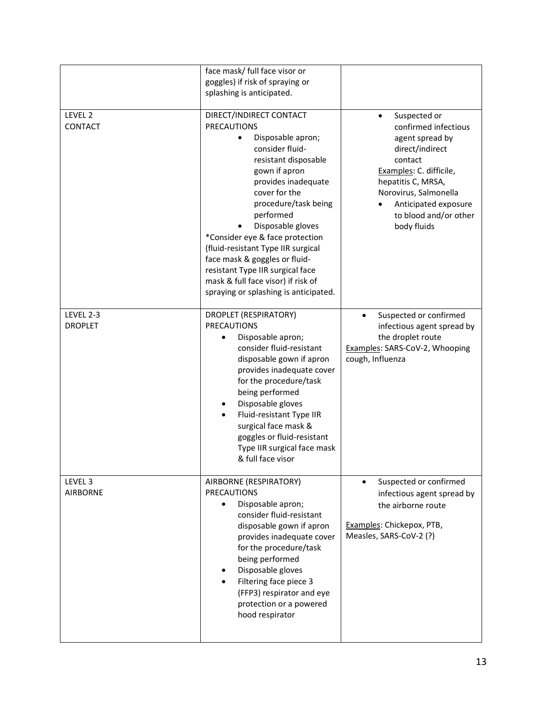|                                    | face mask/ full face visor or<br>goggles) if risk of spraying or<br>splashing is anticipated.                                                                                                                                                                                                                                                                                                                                                                 |                                                                                                                                                                                                                                 |
|------------------------------------|---------------------------------------------------------------------------------------------------------------------------------------------------------------------------------------------------------------------------------------------------------------------------------------------------------------------------------------------------------------------------------------------------------------------------------------------------------------|---------------------------------------------------------------------------------------------------------------------------------------------------------------------------------------------------------------------------------|
| LEVEL 2<br>CONTACT                 | DIRECT/INDIRECT CONTACT<br><b>PRECAUTIONS</b><br>Disposable apron;<br>consider fluid-<br>resistant disposable<br>gown if apron<br>provides inadequate<br>cover for the<br>procedure/task being<br>performed<br>Disposable gloves<br>*Consider eye & face protection<br>(fluid-resistant Type IIR surgical<br>face mask & goggles or fluid-<br>resistant Type IIR surgical face<br>mask & full face visor) if risk of<br>spraying or splashing is anticipated. | Suspected or<br>confirmed infectious<br>agent spread by<br>direct/indirect<br>contact<br>Examples: C. difficile,<br>hepatitis C, MRSA,<br>Norovirus, Salmonella<br>Anticipated exposure<br>to blood and/or other<br>body fluids |
| <b>LEVEL 2-3</b><br><b>DROPLET</b> | DROPLET (RESPIRATORY)<br><b>PRECAUTIONS</b><br>Disposable apron;<br>٠<br>consider fluid-resistant<br>disposable gown if apron<br>provides inadequate cover<br>for the procedure/task<br>being performed<br>Disposable gloves<br>Fluid-resistant Type IIR<br>surgical face mask &<br>goggles or fluid-resistant<br>Type IIR surgical face mask<br>& full face visor                                                                                            | Suspected or confirmed<br>$\bullet$<br>infectious agent spread by<br>the droplet route<br>Examples: SARS-CoV-2, Whooping<br>cough, Influenza                                                                                    |
| LEVEL 3<br><b>AIRBORNE</b>         | AIRBORNE (RESPIRATORY)<br><b>PRECAUTIONS</b><br>Disposable apron;<br>$\bullet$<br>consider fluid-resistant<br>disposable gown if apron<br>provides inadequate cover<br>for the procedure/task<br>being performed<br>Disposable gloves<br>Filtering face piece 3<br>(FFP3) respirator and eye<br>protection or a powered<br>hood respirator                                                                                                                    | Suspected or confirmed<br>infectious agent spread by<br>the airborne route<br>Examples: Chickepox, PTB,<br>Measles, SARS-CoV-2 (?)                                                                                              |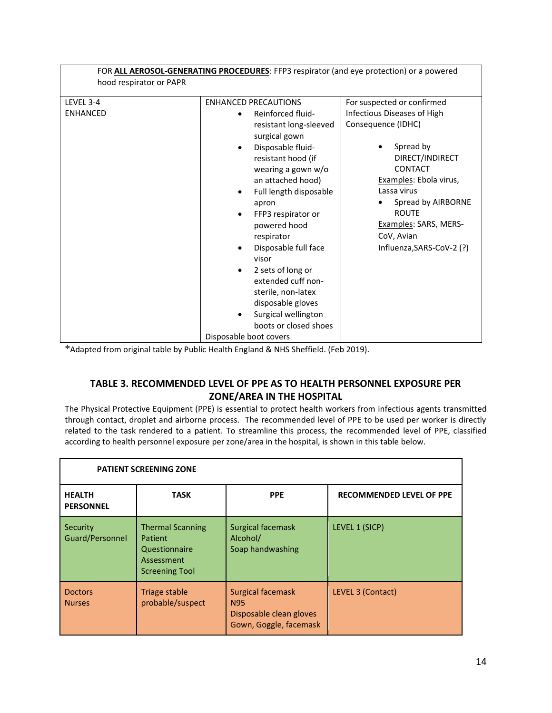|                              | FOR ALL AEROSOL-GENERATING PROCEDURES: FFP3 respirator (and eye protection) or a powered                                                                                                                                                                   |                                                                                                                                                                     |
|------------------------------|------------------------------------------------------------------------------------------------------------------------------------------------------------------------------------------------------------------------------------------------------------|---------------------------------------------------------------------------------------------------------------------------------------------------------------------|
| hood respirator or PAPR      |                                                                                                                                                                                                                                                            |                                                                                                                                                                     |
| LEVEL 3-4<br><b>ENHANCED</b> | <b>ENHANCED PRECAUTIONS</b><br>Reinforced fluid-<br>resistant long-sleeved<br>surgical gown<br>Disposable fluid-<br>resistant hood (if<br>wearing a gown w/o<br>an attached hood)<br>Full length disposable                                                | For suspected or confirmed<br>Infectious Diseases of High<br>Consequence (IDHC)<br>Spread by<br>DIRECT/INDIRECT<br>CONTACT<br>Examples: Ebola virus,<br>Lassa virus |
|                              | apron<br>FFP3 respirator or<br>powered hood<br>respirator<br>Disposable full face<br>visor<br>2 sets of long or<br>extended cuff non-<br>sterile, non-latex<br>disposable gloves<br>Surgical wellington<br>boots or closed shoes<br>Disposable boot covers | Spread by AIRBORNE<br><b>ROUTE</b><br>Examples: SARS, MERS-<br>CoV, Avian<br>Influenza, SARS-CoV-2 (?)                                                              |

\*Adapted from original table by Public Health England & NHS Sheffield. (Feb 2019).

# **TABLE 3. RECOMMENDED LEVEL OF PPE AS TO HEALTH PERSONNEL EXPOSURE PER ZONE/AREA IN THE HOSPITAL**

The Physical Protective Equipment (PPE) is essential to protect health workers from infectious agents transmitted through contact, droplet and airborne process. The recommended level of PPE to be used per worker is directly related to the task rendered to a patient. To streamline this process, the recommended level of PPE, classified according to health personnel exposure per zone/area in the hospital, is shown in this table below.

| <b>PATIENT SCREENING ZONE</b>     |                                                                                            |                                                                                      |                                 |
|-----------------------------------|--------------------------------------------------------------------------------------------|--------------------------------------------------------------------------------------|---------------------------------|
| <b>HEALTH</b><br><b>PERSONNEL</b> | <b>TASK</b>                                                                                | <b>PPE</b>                                                                           | <b>RECOMMENDED LEVEL OF PPE</b> |
| Security<br>Guard/Personnel       | <b>Thermal Scanning</b><br>Patient<br>Questionnaire<br>Assessment<br><b>Screening Tool</b> | <b>Surgical facemask</b><br>Alcohol/<br>Soap handwashing                             | LEVEL 1 (SICP)                  |
| <b>Doctors</b><br><b>Nurses</b>   | Triage stable<br>probable/suspect                                                          | Surgical facemask<br><b>N95</b><br>Disposable clean gloves<br>Gown, Goggle, facemask | LEVEL 3 (Contact)               |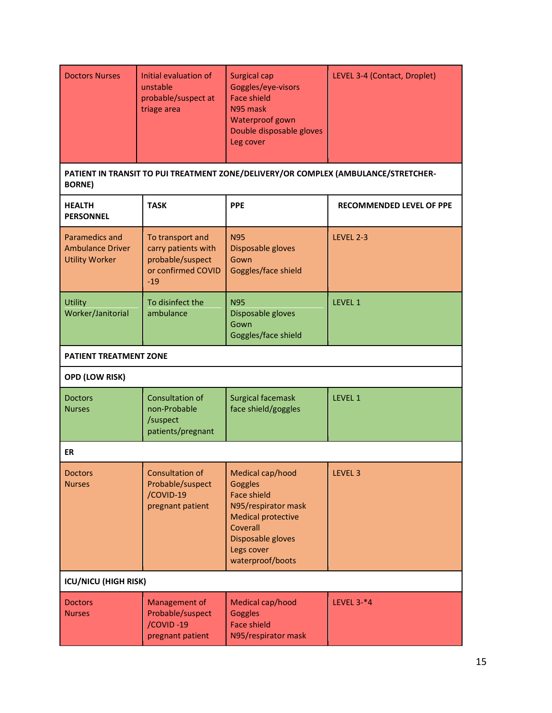| <b>Doctors Nurses</b>                                              | Initial evaluation of<br>unstable<br>probable/suspect at<br>triage area                    | <b>Surgical cap</b><br>Goggles/eye-visors<br><b>Face shield</b><br>N95 mask<br>Waterproof gown<br>Double disposable gloves<br>Leg cover                                  | LEVEL 3-4 (Contact, Droplet)                                                       |
|--------------------------------------------------------------------|--------------------------------------------------------------------------------------------|--------------------------------------------------------------------------------------------------------------------------------------------------------------------------|------------------------------------------------------------------------------------|
| <b>BORNE)</b>                                                      |                                                                                            |                                                                                                                                                                          | PATIENT IN TRANSIT TO PUI TREATMENT ZONE/DELIVERY/OR COMPLEX (AMBULANCE/STRETCHER- |
| <b>HEALTH</b><br><b>PERSONNEL</b>                                  | <b>TASK</b>                                                                                | <b>PPE</b>                                                                                                                                                               | <b>RECOMMENDED LEVEL OF PPE</b>                                                    |
| Paramedics and<br><b>Ambulance Driver</b><br><b>Utility Worker</b> | To transport and<br>carry patients with<br>probable/suspect<br>or confirmed COVID<br>$-19$ | <b>N95</b><br>Disposable gloves<br>Gown<br>Goggles/face shield                                                                                                           | LEVEL 2-3                                                                          |
| <b>Utility</b><br>Worker/Janitorial                                | To disinfect the<br>ambulance                                                              | <b>N95</b><br>Disposable gloves<br>Gown<br>Goggles/face shield                                                                                                           | <b>LEVEL 1</b>                                                                     |
| <b>PATIENT TREATMENT ZONE</b>                                      |                                                                                            |                                                                                                                                                                          |                                                                                    |
| <b>OPD (LOW RISK)</b>                                              |                                                                                            |                                                                                                                                                                          |                                                                                    |
| <b>Doctors</b><br><b>Nurses</b>                                    | Consultation of<br>non-Probable<br>/suspect<br>patients/pregnant                           | Surgical facemask<br>face shield/goggles                                                                                                                                 | LEVEL 1                                                                            |
| ER                                                                 |                                                                                            |                                                                                                                                                                          |                                                                                    |
| <b>Doctors</b><br><b>Nurses</b>                                    | Consultation of<br>Probable/suspect<br>/COVID-19<br>pregnant patient                       | Medical cap/hood<br>Goggles<br><b>Face shield</b><br>N95/respirator mask<br><b>Medical protective</b><br>Coverall<br>Disposable gloves<br>Legs cover<br>waterproof/boots | LEVEL 3                                                                            |
| <b>ICU/NICU (HIGH RISK)</b>                                        |                                                                                            |                                                                                                                                                                          |                                                                                    |
| <b>Doctors</b><br><b>Nurses</b>                                    | Management of<br>Probable/suspect<br>/COVID-19<br>pregnant patient                         | Medical cap/hood<br><b>Goggles</b><br><b>Face shield</b><br>N95/respirator mask                                                                                          | LEVEL $3-*4$                                                                       |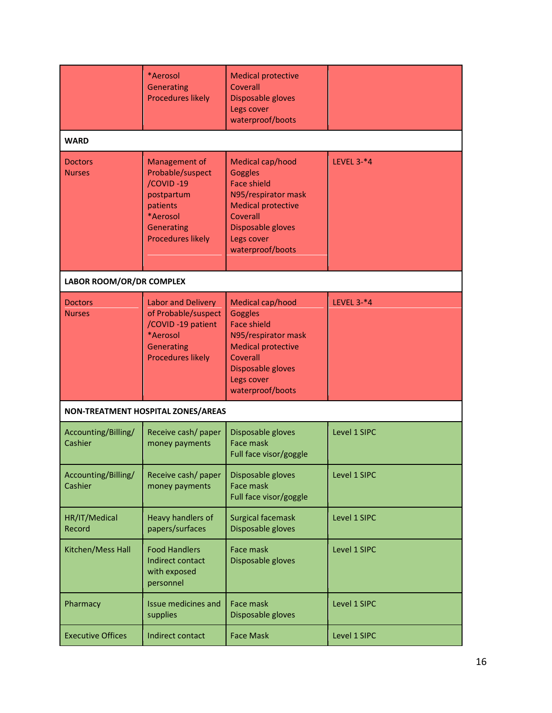|                                 | *Aerosol<br>Generating<br><b>Procedures likely</b>                                                                             | <b>Medical protective</b><br>Coverall<br>Disposable gloves<br>Legs cover<br>waterproof/boots                                                                                    |                   |
|---------------------------------|--------------------------------------------------------------------------------------------------------------------------------|---------------------------------------------------------------------------------------------------------------------------------------------------------------------------------|-------------------|
| <b>WARD</b>                     |                                                                                                                                |                                                                                                                                                                                 |                   |
| <b>Doctors</b><br><b>Nurses</b> | Management of<br>Probable/suspect<br>/COVID-19<br>postpartum<br>patients<br>*Aerosol<br>Generating<br><b>Procedures likely</b> | Medical cap/hood<br>Goggles<br><b>Face shield</b><br>N95/respirator mask<br><b>Medical protective</b><br>Coverall<br>Disposable gloves<br>Legs cover<br>waterproof/boots        | LEVEL $3-*4$      |
| LABOR ROOM/OR/DR COMPLEX        |                                                                                                                                |                                                                                                                                                                                 |                   |
| <b>Doctors</b><br><b>Nurses</b> | Labor and Delivery<br>of Probable/suspect<br>/COVID-19 patient<br>*Aerosol<br>Generating<br><b>Procedures likely</b>           | Medical cap/hood<br><b>Goggles</b><br><b>Face shield</b><br>N95/respirator mask<br><b>Medical protective</b><br>Coverall<br>Disposable gloves<br>Legs cover<br>waterproof/boots | <b>LEVEL 3-*4</b> |
|                                 | NON-TREATMENT HOSPITAL ZONES/AREAS                                                                                             |                                                                                                                                                                                 |                   |
| Accounting/Billing/<br>Cashier  | Receive cash/ paper<br>money payments                                                                                          | Disposable gloves<br>Face mask<br>Full face visor/goggle                                                                                                                        | Level 1 SIPC      |
| Accounting/Billing/<br>Cashier  | Receive cash/ paper<br>money payments                                                                                          | Disposable gloves<br>Face mask<br>Full face visor/goggle                                                                                                                        | Level 1 SIPC      |
| HR/IT/Medical<br>Record         | <b>Heavy handlers of</b><br>papers/surfaces                                                                                    | <b>Surgical facemask</b><br>Disposable gloves                                                                                                                                   | Level 1 SIPC      |
| Kitchen/Mess Hall               | <b>Food Handlers</b><br>Indirect contact<br>with exposed<br>personnel                                                          | Face mask<br>Disposable gloves                                                                                                                                                  | Level 1 SIPC      |
| Pharmacy                        | Issue medicines and<br>supplies                                                                                                | Face mask<br>Disposable gloves                                                                                                                                                  | Level 1 SIPC      |
| <b>Executive Offices</b>        | Indirect contact                                                                                                               | <b>Face Mask</b>                                                                                                                                                                | Level 1 SIPC      |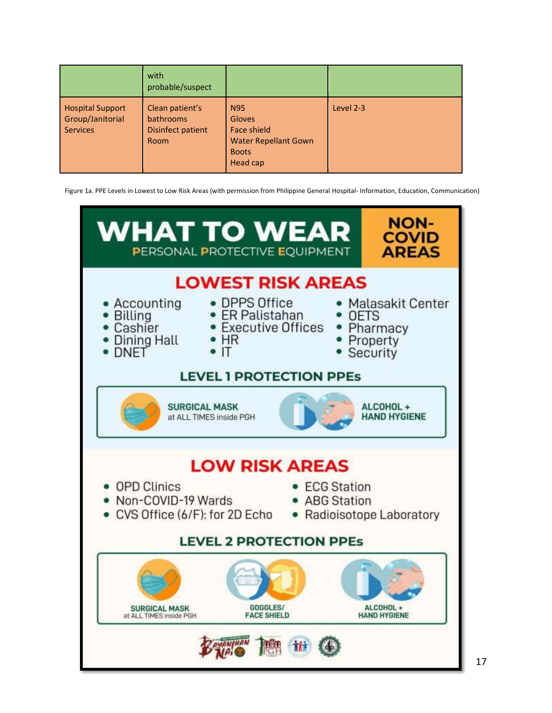|                                                                | with<br>probable/suspect                                  |                                                                                                              |           |
|----------------------------------------------------------------|-----------------------------------------------------------|--------------------------------------------------------------------------------------------------------------|-----------|
| <b>Hospital Support</b><br>Group/Janitorial<br><b>Services</b> | Clean patient's<br>bathrooms<br>Disinfect patient<br>Room | <b>N95</b><br><b>Gloves</b><br><b>Face shield</b><br><b>Water Repellant Gown</b><br><b>Boots</b><br>Head cap | Level 2-3 |

Figure 1a. PPE Levels in Lowest to Low Risk Areas (with permission from Philippine General Hospital- Information, Education, Communication)

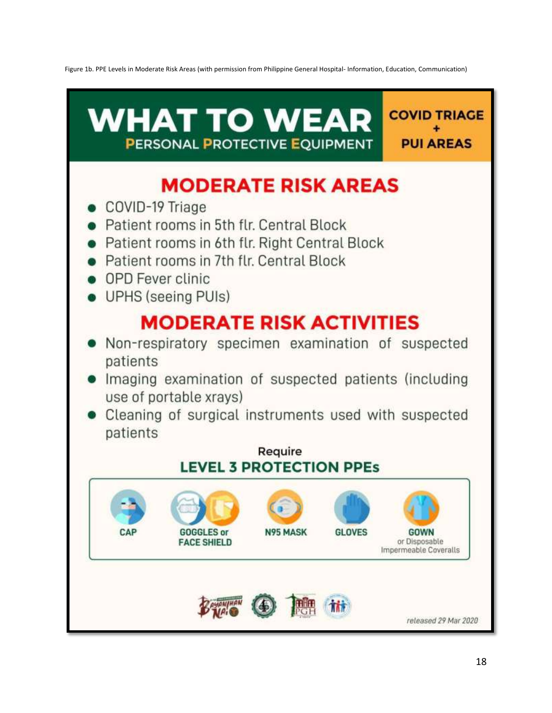Figure 1b. PPE Levels in Moderate Risk Areas (with permission from Philippine General Hospital- Information, Education, Communication)

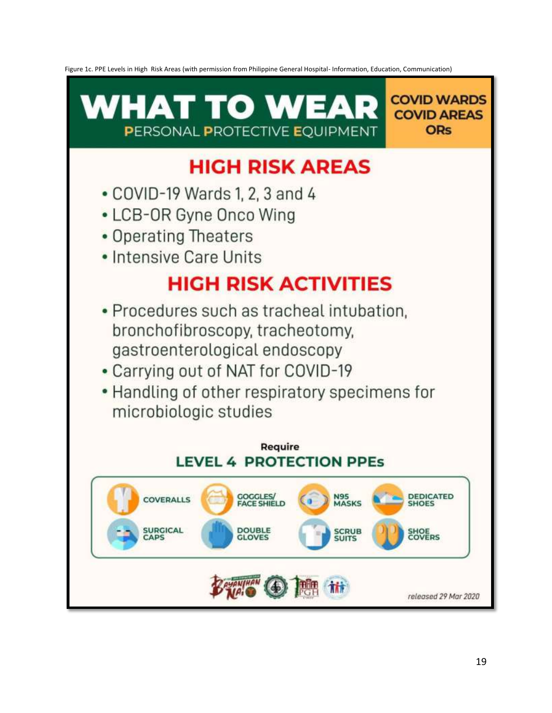Figure 1c. PPE Levels in High Risk Areas (with permission from Philippine General Hospital- Information, Education, Communication)

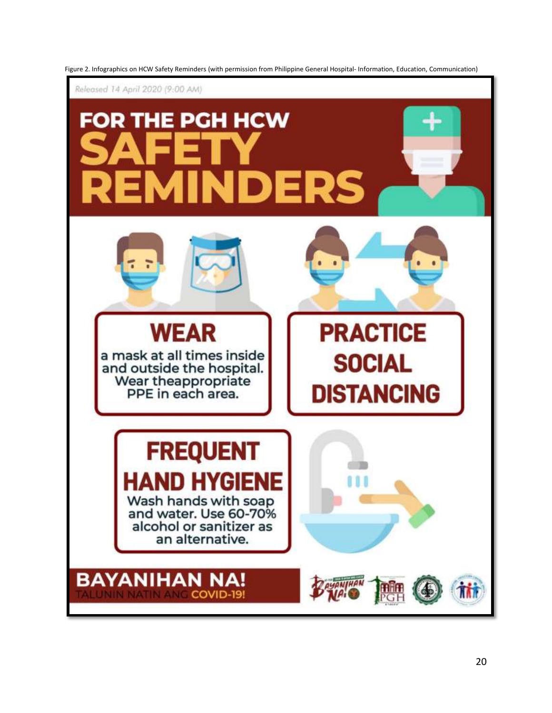

Figure 2. Infographics on HCW Safety Reminders (with permission from Philippine General Hospital- Information, Education, Communication)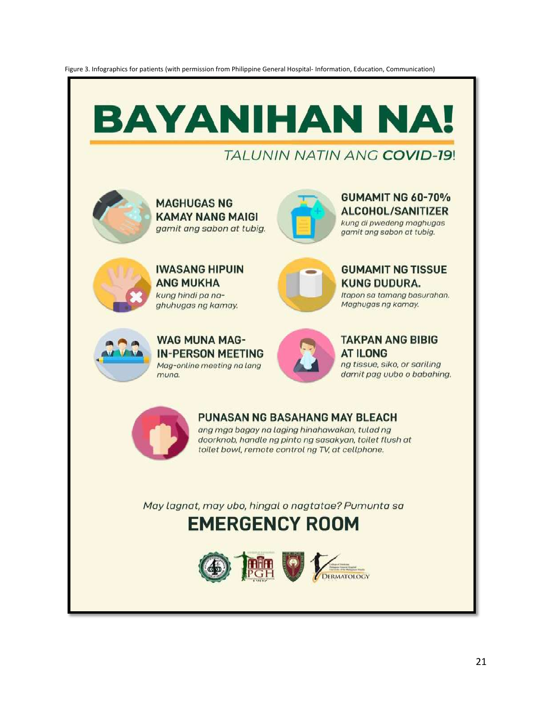Figure 3. Infographics for patients (with permission from Philippine General Hospital- Information, Education, Communication)